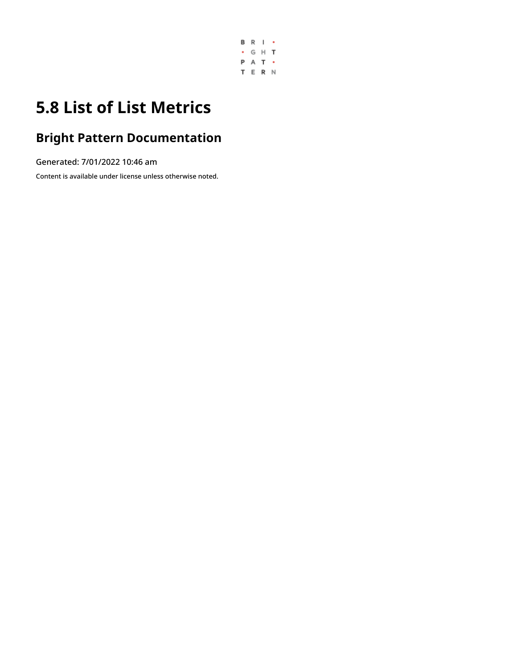

## **5.8 List of List Metrics**

### **Bright Pattern Documentation**

Generated: 7/01/2022 10:46 am

Content is available under license unless otherwise noted.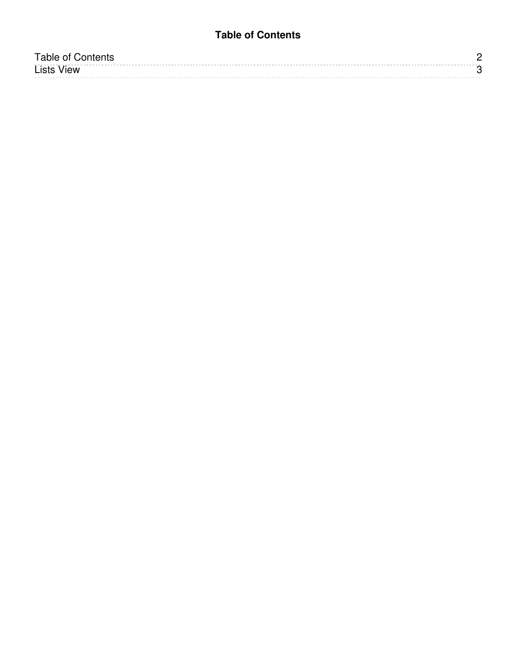### **Table of Contents**

<span id="page-1-0"></span>

| Table of Contents |  |
|-------------------|--|
| <b>Lists View</b> |  |
|                   |  |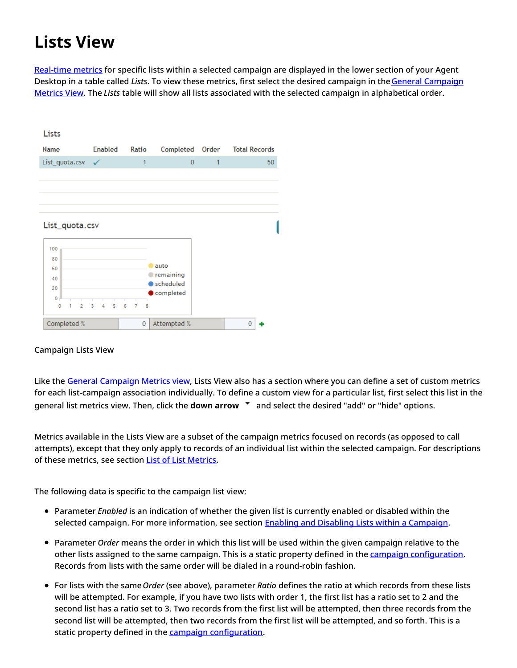# <span id="page-2-0"></span>**Lists View**

[Real-time](https://help.brightpattern.com/5.8:Supervisor-guide/ListofListMetrics/?action=html-localimages-export#topic_reporting-reference-guide.2Finformationaboutmetrics) metrics for specific lists within a selected campaign are displayed in the lower section of your Agent Desktop in a table called *Lists*. To view these metrics, first select the desired campaign in theGeneral Campaign Metrics View. The *Lists* table will show all lists associated with the selected campaign in [alphabetical](https://help.brightpattern.com/5.8:Supervisor-guide/ListofListMetrics/?action=html-localimages-export#topic_supervisor-guide.2Fgeneralcampaignmetricsview) order.

| Lists               |                |                          |                        |              |                      |    |
|---------------------|----------------|--------------------------|------------------------|--------------|----------------------|----|
| Name                | <b>Enabled</b> | Ratio                    | Completed              | Order        | <b>Total Records</b> |    |
| List_quota.csv      |                | 1                        | $\overline{0}$         | $\mathbf{1}$ |                      | 50 |
|                     |                |                          |                        |              |                      |    |
|                     |                |                          |                        |              |                      |    |
|                     |                |                          |                        |              |                      |    |
| List_quota.csv      |                |                          |                        |              |                      |    |
| 100                 |                |                          |                        |              |                      |    |
| 80<br>60            |                |                          | auto                   |              |                      |    |
| 40                  |                |                          | remaining              |              |                      |    |
| 20                  |                |                          | scheduled<br>completed |              |                      |    |
| 0                   |                |                          |                        |              |                      |    |
| $\overline{2}$<br>0 | 5<br>3<br>4    | 6<br>$\overline{7}$<br>8 |                        |              |                      |    |
| Completed %         |                | 0                        | Attempted %            |              | o                    |    |

#### Campaign Lists View

Like the General [Campaign](https://help.brightpattern.com/5.8:Supervisor-guide/ListofListMetrics/?action=html-localimages-export#topic_supervisor-guide.2Fgeneralcampaignmetricsview) Metrics view, Lists View also has a section where you can define a set of custom metrics for each list-campaign association individually. To define a custom view for a particular list, first select this list in the general list metrics view. Then, click the **down arrow T** and select the desired "add" or "hide" options.

Metrics available in the Lists View are a subset of the campaign metrics focused on records (as opposed to call attempts), except that they only apply to records of an individual list within the selected campaign. For descriptions of these metrics, see section List of List [Metrics](https://help.brightpattern.com/5.8:Supervisor-guide/ListofListMetrics/?action=html-localimages-export#topic_supervisor-guide.2Flistoflistmetrics).

The following data is specific to the campaign list view:

- Parameter *Enabled* is an indication of whether the given list is currently enabled or disabled within the selected campaign. For more information, see section **Enabling and Disabling Lists within a [Campaign](https://help.brightpattern.com/5.8:Supervisor-guide/ListofListMetrics/?action=html-localimages-export#topic_supervisor-guide.2Fenablinganddisablinglistswithinacampaign)**.
- Parameter *Order* means the order in which this list will be used within the given campaign relative to the other lists assigned to the same campaign. This is a static property defined in the campaign [configuration](https://help.brightpattern.com/5.8:Supervisor-guide/ListofListMetrics/?action=html-localimages-export#topic_contact-center-administrator-guide.2Fliststab). Records from lists with the same order will be dialed in a round-robin fashion.
- For lists with the same*Order* (see above), parameter *Ratio* defines the ratio at which records from these lists will be attempted. For example, if you have two lists with order 1, the first list has a ratio set to 2 and the second list has a ratio set to 3. Two records from the first list will be attempted, then three records from the second list will be attempted, then two records from the first list will be attempted, and so forth. This is a static property defined in the campaign [configuration](https://help.brightpattern.com/5.8:Supervisor-guide/ListofListMetrics/?action=html-localimages-export#topic_contact-center-administrator-guide.2Fliststab).